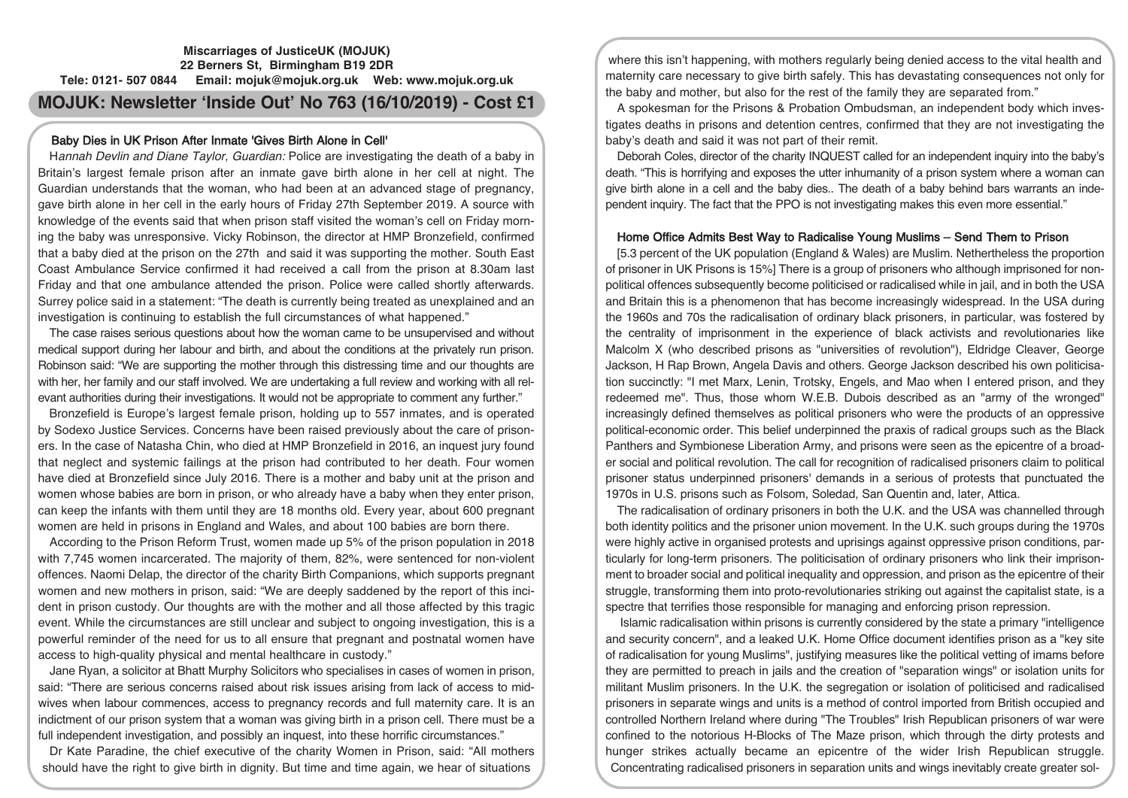# **Miscarriages of JusticeUK (MOJUK) 22 Berners St, Birmingham B19 2DR Tele: 0121- 507 0844 Email: mojuk@mojuk.org.uk Web: www.mojuk.org.uk**

# **MOJUK: Newsletter 'Inside Out' No 763 (16/10/2019) - Cost £1**

# Baby Dies in UK Prison After Inmate 'Gives Birth Alone in Cell'

Hannah Devlin and Diane Taylor, Guardian: Police are investigating the death of a baby in Britain's largest female prison after an inmate gave birth alone in her cell at night. The Guardian understands that the woman, who had been at an advanced stage of pregnancy, gave birth alone in her cell in the early hours of Friday 27th September 2019. A source with knowledge of the events said that when prison staff visited the woman's cell on Friday morning the baby was unresponsive. Vicky Robinson, the director at HMP Bronzefield, confirmed that a baby died at the prison on the 27th and said it was supporting the mother. South East Coast Ambulance Service confirmed it had received a call from the prison at 8.30am last Friday and that one ambulance attended the prison. Police were called shortly afterwards. Surrey police said in a statement: "The death is currently being treated as unexplained and an investigation is continuing to establish the full circumstances of what happened."

The case raises serious questions about how the woman came to be unsupervised and without medical support during her labour and birth, and about the conditions at the privately run prison. Robinson said: "We are supporting the mother through this distressing time and our thoughts are with her, her family and our staff involved. We are undertaking a full review and working with all relevant authorities during their investigations. It would not be appropriate to comment any further."

Bronzefield is Europe's largest female prison, holding up to 557 inmates, and is operated by Sodexo Justice Services. Concerns have been raised previously about the care of prisoners. In the case of Natasha Chin, who died at HMP Bronzefield in 2016, an inquest jury found that neglect and systemic failings at the prison had contributed to her death. Four women have died at Bronzefield since July 2016. There is a mother and baby unit at the prison and women whose babies are born in prison, or who already have a baby when they enter prison, can keep the infants with them until they are 18 months old. Every year, about 600 pregnant women are held in prisons in England and Wales, and about 100 babies are born there.

According to the Prison Reform Trust, women made up 5% of the prison population in 2018 with 7,745 women incarcerated. The majority of them, 82%, were sentenced for non-violent offences. Naomi Delap, the director of the charity Birth Companions, which supports pregnant women and new mothers in prison, said: "We are deeply saddened by the report of this incident in prison custody. Our thoughts are with the mother and all those affected by this tragic event. While the circumstances are still unclear and subject to ongoing investigation, this is a powerful reminder of the need for us to all ensure that pregnant and postnatal women have access to high-quality physical and mental healthcare in custody."

Jane Ryan, a solicitor at Bhatt Murphy Solicitors who specialises in cases of women in prison, said: "There are serious concerns raised about risk issues arising from lack of access to midwives when labour commences, access to pregnancy records and full maternity care. It is an indictment of our prison system that a woman was giving birth in a prison cell. There must be a full independent investigation, and possibly an inquest, into these horrific circumstances."

Dr Kate Paradine, the chief executive of the charity Women in Prison, said: "All mothers should have the right to give birth in dignity. But time and time again, we hear of situations

where this isn't happening, with mothers regularly being denied access to the vital health and maternity care necessary to give birth safely. This has devastating consequences not only for the baby and mother, but also for the rest of the family they are separated from."

A spokesman for the Prisons & Probation Ombudsman, an independent body which investigates deaths in prisons and detention centres, confirmed that they are not investigating the baby's death and said it was not part of their remit.

Deborah Coles, director of the charity INQUEST called for an independent inquiry into the baby's death. "This is horrifying and exposes the utter inhumanity of a prison system where a woman can give birth alone in a cell and the baby dies.. The death of a baby behind bars warrants an independent inquiry. The fact that the PPO is not investigating makes this even more essential."

# Home Office Admits Best Way to Radicalise Young Muslims – Send Them to Prison

[5.3 percent of the UK population (England & Wales) are Muslim. Nethertheless the proportion of prisoner in UK Prisons is 15%] There is a group of prisoners who although imprisoned for nonpolitical offences subsequently become politicised or radicalised while in jail, and in both the USA and Britain this is a phenomenon that has become increasingly widespread. In the USA during the 1960s and 70s the radicalisation of ordinary black prisoners, in particular, was fostered by the centrality of imprisonment in the experience of black activists and revolutionaries like Malcolm X (who described prisons as "universities of revolution"), Eldridge Cleaver, George Jackson, H Rap Brown, Angela Davis and others. George Jackson described his own politicisation succinctly: "I met Marx, Lenin, Trotsky, Engels, and Mao when I entered prison, and they redeemed me". Thus, those whom W.E.B. Dubois described as an "army of the wronged" increasingly defined themselves as political prisoners who were the products of an oppressive political-economic order. This belief underpinned the praxis of radical groups such as the Black Panthers and Symbionese Liberation Army, and prisons were seen as the epicentre of a broader social and political revolution. The call for recognition of radicalised prisoners claim to political prisoner status underpinned prisoners' demands in a serious of protests that punctuated the 1970s in U.S. prisons such as Folsom, Soledad, San Quentin and, later, Attica.

The radicalisation of ordinary prisoners in both the U.K. and the USA was channelled through both identity politics and the prisoner union movement. In the U.K. such groups during the 1970s were highly active in organised protests and uprisings against oppressive prison conditions, particularly for long-term prisoners. The politicisation of ordinary prisoners who link their imprisonment to broader social and political inequality and oppression, and prison as the epicentre of their struggle, transforming them into proto-revolutionaries striking out against the capitalist state, is a spectre that terrifies those responsible for managing and enforcing prison repression.

Islamic radicalisation within prisons is currently considered by the state a primary "intelligence and security concern", and a leaked U.K. Home Office document identifies prison as a "key site of radicalisation for young Muslims", justifying measures like the political vetting of imams before they are permitted to preach in jails and the creation of "separation wings" or isolation units for militant Muslim prisoners. In the U.K. the segregation or isolation of politicised and radicalised prisoners in separate wings and units is a method of control imported from British occupied and controlled Northern Ireland where during "The Troubles" Irish Republican prisoners of war were confined to the notorious H-Blocks of The Maze prison, which through the dirty protests and hunger strikes actually became an epicentre of the wider Irish Republican struggle. Concentrating radicalised prisoners in separation units and wings inevitably create greater sol-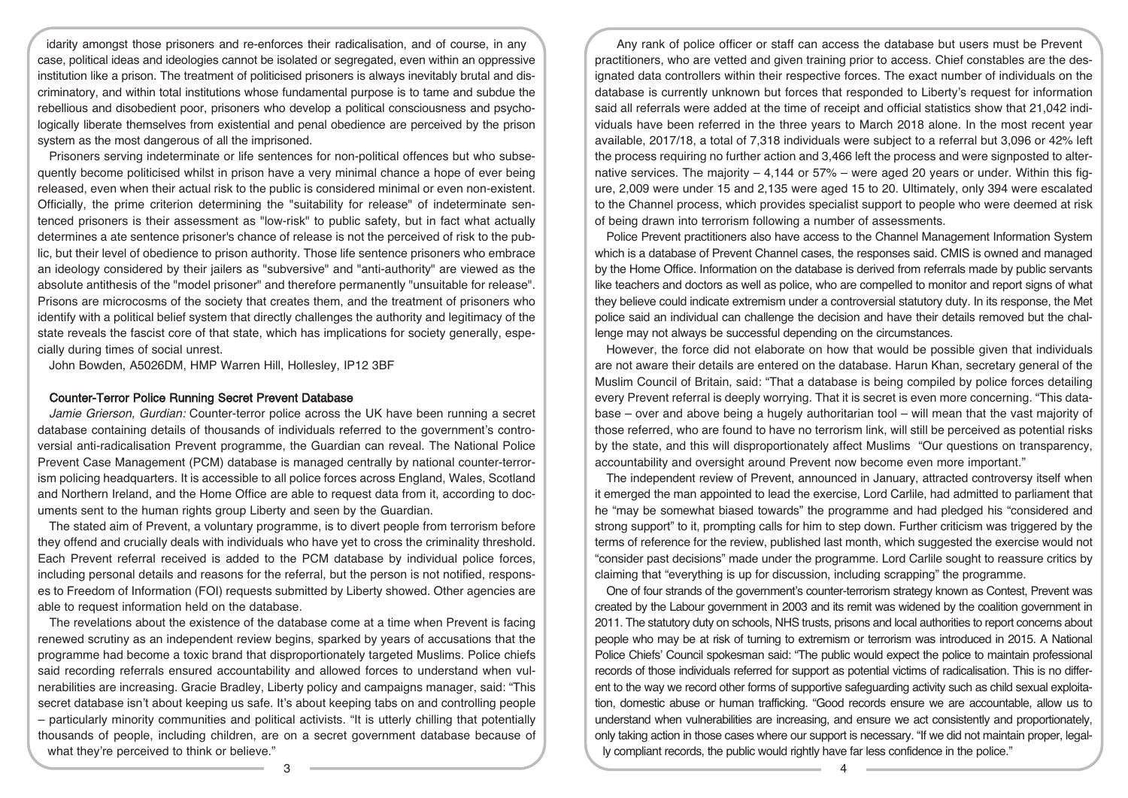idarity amongst those prisoners and re-enforces their radicalisation, and of course, in any case, political ideas and ideologies cannot be isolated or segregated, even within an oppressive institution like a prison. The treatment of politicised prisoners is always inevitably brutal and discriminatory, and within total institutions whose fundamental purpose is to tame and subdue the rebellious and disobedient poor, prisoners who develop a political consciousness and psychologically liberate themselves from existential and penal obedience are perceived by the prison system as the most dangerous of all the imprisoned.

Prisoners serving indeterminate or life sentences for non-political offences but who subsequently become politicised whilst in prison have a very minimal chance a hope of ever being released, even when their actual risk to the public is considered minimal or even non-existent. Officially, the prime criterion determining the "suitability for release" of indeterminate sentenced prisoners is their assessment as "low-risk" to public safety, but in fact what actually determines a ate sentence prisoner's chance of release is not the perceived of risk to the public, but their level of obedience to prison authority. Those life sentence prisoners who embrace an ideology considered by their jailers as "subversive" and "anti-authority" are viewed as the absolute antithesis of the "model prisoner" and therefore permanently "unsuitable for release". Prisons are microcosms of the society that creates them, and the treatment of prisoners who identify with a political belief system that directly challenges the authority and legitimacy of the state reveals the fascist core of that state, which has implications for society generally, especially during times of social unrest.

John Bowden, A5026DM, HMP Warren Hill, Hollesley, IP12 3BF

#### Counter-Terror Police Running Secret Prevent Database

Jamie Grierson, Gurdian: Counter-terror police across the UK have been running a secret database containing details of thousands of individuals referred to the government's controversial anti-radicalisation Prevent programme, the Guardian can reveal. The National Police Prevent Case Management (PCM) database is managed centrally by national counter-terrorism policing headquarters. It is accessible to all police forces across England, Wales, Scotland and Northern Ireland, and the Home Office are able to request data from it, according to documents sent to the human rights group Liberty and seen by the Guardian.

The stated aim of Prevent, a voluntary programme, is to divert people from terrorism before they offend and crucially deals with individuals who have yet to cross the criminality threshold. Each Prevent referral received is added to the PCM database by individual police forces, including personal details and reasons for the referral, but the person is not notified, responses to Freedom of Information (FOI) requests submitted by Liberty showed. Other agencies are able to request information held on the database.

The revelations about the existence of the database come at a time when Prevent is facing renewed scrutiny as an independent review begins, sparked by years of accusations that the programme had become a toxic brand that disproportionately targeted Muslims. Police chiefs said recording referrals ensured accountability and allowed forces to understand when vulnerabilities are increasing. Gracie Bradley, Liberty policy and campaigns manager, said: "This secret database isn't about keeping us safe. It's about keeping tabs on and controlling people – particularly minority communities and political activists. "It is utterly chilling that potentially thousands of people, including children, are on a secret government database because of what they're perceived to think or believe."

Any rank of police officer or staff can access the database but users must be Prevent practitioners, who are vetted and given training prior to access. Chief constables are the designated data controllers within their respective forces. The exact number of individuals on the database is currently unknown but forces that responded to Liberty's request for information said all referrals were added at the time of receipt and official statistics show that 21,042 individuals have been referred in the three years to March 2018 alone. In the most recent year available, 2017/18, a total of 7,318 individuals were subject to a referral but 3,096 or 42% left the process requiring no further action and 3,466 left the process and were signposted to alternative services. The majority  $-4.144$  or 57% – were aged 20 years or under. Within this figure, 2,009 were under 15 and 2,135 were aged 15 to 20. Ultimately, only 394 were escalated to the Channel process, which provides specialist support to people who were deemed at risk of being drawn into terrorism following a number of assessments.

Police Prevent practitioners also have access to the Channel Management Information System which is a database of Prevent Channel cases, the responses said. CMIS is owned and managed by the Home Office. Information on the database is derived from referrals made by public servants like teachers and doctors as well as police, who are compelled to monitor and report signs of what they believe could indicate extremism under a controversial statutory duty. In its response, the Met police said an individual can challenge the decision and have their details removed but the challenge may not always be successful depending on the circumstances.

However, the force did not elaborate on how that would be possible given that individuals are not aware their details are entered on the database. Harun Khan, secretary general of the Muslim Council of Britain, said: "That a database is being compiled by police forces detailing every Prevent referral is deeply worrying. That it is secret is even more concerning. "This database – over and above being a hugely authoritarian tool – will mean that the vast majority of those referred, who are found to have no terrorism link, will still be perceived as potential risks by the state, and this will disproportionately affect Muslims "Our questions on transparency, accountability and oversight around Prevent now become even more important."

The independent review of Prevent, announced in January, attracted controversy itself when it emerged the man appointed to lead the exercise, Lord Carlile, had admitted to parliament that he "may be somewhat biased towards" the programme and had pledged his "considered and strong support" to it, prompting calls for him to step down. Further criticism was triggered by the terms of reference for the review, published last month, which suggested the exercise would not "consider past decisions" made under the programme. Lord Carlile sought to reassure critics by claiming that "everything is up for discussion, including scrapping" the programme.

One of four strands of the government's counter-terrorism strategy known as Contest, Prevent was created by the Labour government in 2003 and its remit was widened by the coalition government in 2011. The statutory duty on schools, NHS trusts, prisons and local authorities to report concerns about people who may be at risk of turning to extremism or terrorism was introduced in 2015. A National Police Chiefs' Council spokesman said: "The public would expect the police to maintain professional records of those individuals referred for support as potential victims of radicalisation. This is no different to the way we record other forms of supportive safeguarding activity such as child sexual exploitation, domestic abuse or human trafficking. "Good records ensure we are accountable, allow us to understand when vulnerabilities are increasing, and ensure we act consistently and proportionately, only taking action in those cases where our support is necessary. "If we did not maintain proper, legally compliant records, the public would rightly have far less confidence in the police."

 $\overline{3}$   $\overline{4}$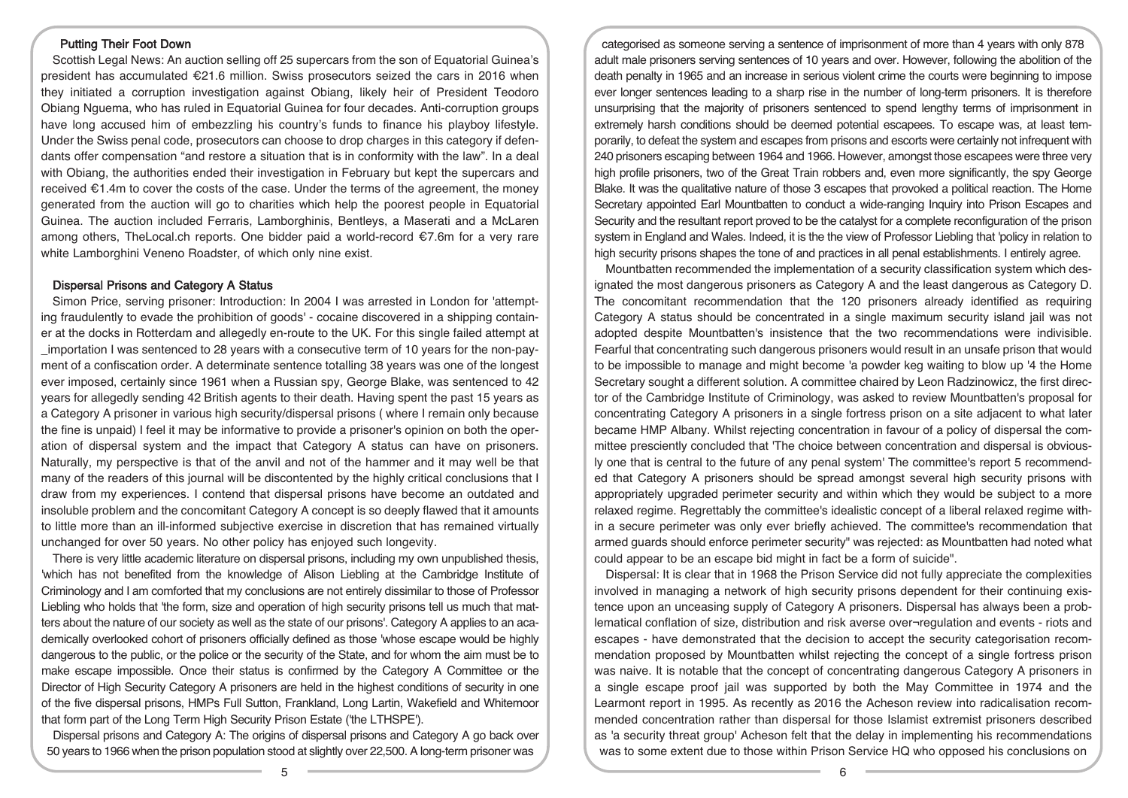# Putting Their Foot Down

Scottish Legal News: An auction selling off 25 supercars from the son of Equatorial Guinea's president has accumulated €21.6 million. Swiss prosecutors seized the cars in 2016 when they initiated a corruption investigation against Obiang, likely heir of President Teodoro Obiang Nguema, who has ruled in Equatorial Guinea for four decades. Anti-corruption groups have long accused him of embezzling his country's funds to finance his playboy lifestyle. Under the Swiss penal code, prosecutors can choose to drop charges in this category if defendants offer compensation "and restore a situation that is in conformity with the law". In a deal with Obiang, the authorities ended their investigation in February but kept the supercars and received €1.4m to cover the costs of the case. Under the terms of the agreement, the money generated from the auction will go to charities which help the poorest people in Equatorial Guinea. The auction included Ferraris, Lamborghinis, Bentleys, a Maserati and a McLaren among others, TheLocal.ch reports. One bidder paid a world-record €7.6m for a very rare white Lamborghini Veneno Roadster, of which only nine exist.

### Dispersal Prisons and Category A Status

Simon Price, serving prisoner: Introduction: In 2004 I was arrested in London for 'attempting fraudulently to evade the prohibition of goods' - cocaine discovered in a shipping container at the docks in Rotterdam and allegedly en-route to the UK. For this single failed attempt at \_importation I was sentenced to 28 years with a consecutive term of 10 years for the non-payment of a confiscation order. A determinate sentence totalling 38 years was one of the longest ever imposed, certainly since 1961 when a Russian spy, George Blake, was sentenced to 42 years for allegedly sending 42 British agents to their death. Having spent the past 15 years as a Category A prisoner in various high security/dispersal prisons ( where I remain only because the fine is unpaid) I feel it may be informative to provide a prisoner's opinion on both the operation of dispersal system and the impact that Category A status can have on prisoners. Naturally, my perspective is that of the anvil and not of the hammer and it may well be that many of the readers of this journal will be discontented by the highly critical conclusions that I draw from my experiences. I contend that dispersal prisons have become an outdated and insoluble problem and the concomitant Category A concept is so deeply flawed that it amounts to little more than an ill-informed subjective exercise in discretion that has remained virtually unchanged for over 50 years. No other policy has enjoyed such longevity.

There is very little academic literature on dispersal prisons, including my own unpublished thesis, 'which has not benefited from the knowledge of Alison Liebling at the Cambridge Institute of Criminology and I am comforted that my conclusions are not entirely dissimilar to those of Professor Liebling who holds that 'the form, size and operation of high security prisons tell us much that matters about the nature of our society as well as the state of our prisons'. Category A applies to an academically overlooked cohort of prisoners officially defined as those 'whose escape would be highly dangerous to the public, or the police or the security of the State, and for whom the aim must be to make escape impossible. Once their status is confirmed by the Category A Committee or the Director of High Security Category A prisoners are held in the highest conditions of security in one of the five dispersal prisons, HMPs Full Sutton, Frankland, Long Lartin, Wakefield and Whitemoor that form part of the Long Term High Security Prison Estate ('the LTHSPE').

Dispersal prisons and Category A: The origins of dispersal prisons and Category A go back over 50 years to 1966 when the prison population stood at slightly over 22,500. A long-term prisoner was

categorised as someone serving a sentence of imprisonment of more than 4 years with only 878 adult male prisoners serving sentences of 10 years and over. However, following the abolition of the death penalty in 1965 and an increase in serious violent crime the courts were beginning to impose ever longer sentences leading to a sharp rise in the number of long-term prisoners. It is therefore unsurprising that the majority of prisoners sentenced to spend lengthy terms of imprisonment in extremely harsh conditions should be deemed potential escapees. To escape was, at least temporarily, to defeat the system and escapes from prisons and escorts were certainly not infrequent with 240 prisoners escaping between 1964 and 1966. However, amongst those escapees were three very high profile prisoners, two of the Great Train robbers and, even more significantly, the spy George Blake. It was the qualitative nature of those 3 escapes that provoked a political reaction. The Home Secretary appointed Earl Mountbatten to conduct a wide-ranging Inquiry into Prison Escapes and Security and the resultant report proved to be the catalyst for a complete reconfiguration of the prison system in England and Wales. Indeed, it is the the view of Professor Liebling that 'policy in relation to high security prisons shapes the tone of and practices in all penal establishments. I entirely agree.

Mountbatten recommended the implementation of a security classification system which designated the most dangerous prisoners as Category A and the least dangerous as Category D. The concomitant recommendation that the 120 prisoners already identified as requiring Category A status should be concentrated in a single maximum security island jail was not adopted despite Mountbatten's insistence that the two recommendations were indivisible. Fearful that concentrating such dangerous prisoners would result in an unsafe prison that would to be impossible to manage and might become 'a powder keg waiting to blow up '4 the Home Secretary sought a different solution. A committee chaired by Leon Radzinowicz, the first director of the Cambridge Institute of Criminology, was asked to review Mountbatten's proposal for concentrating Category A prisoners in a single fortress prison on a site adjacent to what later became HMP Albany. Whilst rejecting concentration in favour of a policy of dispersal the committee presciently concluded that 'The choice between concentration and dispersal is obviously one that is central to the future of any penal system' The committee's report 5 recommended that Category A prisoners should be spread amongst several high security prisons with appropriately upgraded perimeter security and within which they would be subject to a more relaxed regime. Regrettably the committee's idealistic concept of a liberal relaxed regime within a secure perimeter was only ever briefly achieved. The committee's recommendation that armed guards should enforce perimeter security" was rejected: as Mountbatten had noted what could appear to be an escape bid might in fact be a form of suicide".

Dispersal: It is clear that in 1968 the Prison Service did not fully appreciate the complexities involved in managing a network of high security prisons dependent for their continuing existence upon an unceasing supply of Category A prisoners. Dispersal has always been a problematical conflation of size, distribution and risk averse over¬regulation and events - riots and escapes - have demonstrated that the decision to accept the security categorisation recommendation proposed by Mountbatten whilst rejecting the concept of a single fortress prison was naive. It is notable that the concept of concentrating dangerous Category A prisoners in a single escape proof jail was supported by both the May Committee in 1974 and the Learmont report in 1995. As recently as 2016 the Acheson review into radicalisation recommended concentration rather than dispersal for those Islamist extremist prisoners described as 'a security threat group' Acheson felt that the delay in implementing his recommendations was to some extent due to those within Prison Service HQ who opposed his conclusions on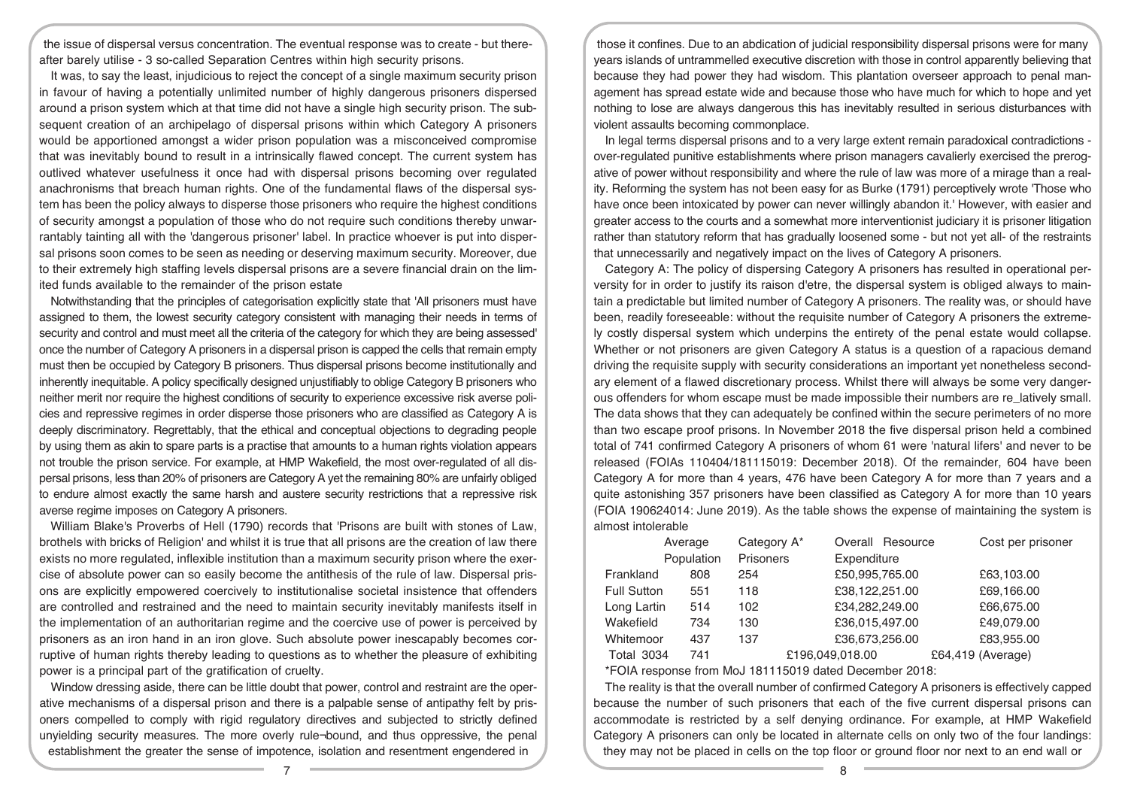the issue of dispersal versus concentration. The eventual response was to create - but thereafter barely utilise - 3 so-called Separation Centres within high security prisons.

It was, to say the least, injudicious to reject the concept of a single maximum security prison in favour of having a potentially unlimited number of highly dangerous prisoners dispersed around a prison system which at that time did not have a single high security prison. The subsequent creation of an archipelago of dispersal prisons within which Category A prisoners would be apportioned amongst a wider prison population was a misconceived compromise that was inevitably bound to result in a intrinsically flawed concept. The current system has outlived whatever usefulness it once had with dispersal prisons becoming over regulated anachronisms that breach human rights. One of the fundamental flaws of the dispersal system has been the policy always to disperse those prisoners who require the highest conditions of security amongst a population of those who do not require such conditions thereby unwarrantably tainting all with the 'dangerous prisoner' label. In practice whoever is put into dispersal prisons soon comes to be seen as needing or deserving maximum security. Moreover, due to their extremely high staffing levels dispersal prisons are a severe financial drain on the limited funds available to the remainder of the prison estate

Notwithstanding that the principles of categorisation explicitly state that 'All prisoners must have assigned to them, the lowest security category consistent with managing their needs in terms of security and control and must meet all the criteria of the category for which they are being assessed' once the number of Category A prisoners in a dispersal prison is capped the cells that remain empty must then be occupied by Category B prisoners. Thus dispersal prisons become institutionally and inherently inequitable. A policy specifically designed unjustifiably to oblige Category B prisoners who neither merit nor require the highest conditions of security to experience excessive risk averse policies and repressive regimes in order disperse those prisoners who are classified as Category A is deeply discriminatory. Regrettably, that the ethical and conceptual objections to degrading people by using them as akin to spare parts is a practise that amounts to a human rights violation appears not trouble the prison service. For example, at HMP Wakefield, the most over-regulated of all dispersal prisons, less than 20% of prisoners are Category A yet the remaining 80% are unfairly obliged to endure almost exactly the same harsh and austere security restrictions that a repressive risk averse regime imposes on Category A prisoners.

William Blake's Proverbs of Hell (1790) records that 'Prisons are built with stones of Law, brothels with bricks of Religion' and whilst it is true that all prisons are the creation of law there exists no more regulated, inflexible institution than a maximum security prison where the exercise of absolute power can so easily become the antithesis of the rule of law. Dispersal prisons are explicitly empowered coercively to institutionalise societal insistence that offenders are controlled and restrained and the need to maintain security inevitably manifests itself in the implementation of an authoritarian regime and the coercive use of power is perceived by prisoners as an iron hand in an iron glove. Such absolute power inescapably becomes corruptive of human rights thereby leading to questions as to whether the pleasure of exhibiting power is a principal part of the gratification of cruelty.

Window dressing aside, there can be little doubt that power, control and restraint are the operative mechanisms of a dispersal prison and there is a palpable sense of antipathy felt by prisoners compelled to comply with rigid regulatory directives and subjected to strictly defined unyielding security measures. The more overly rule¬bound, and thus oppressive, the penal establishment the greater the sense of impotence, isolation and resentment engendered in

those it confines. Due to an abdication of judicial responsibility dispersal prisons were for many years islands of untrammelled executive discretion with those in control apparently believing that because they had power they had wisdom. This plantation overseer approach to penal management has spread estate wide and because those who have much for which to hope and yet nothing to lose are always dangerous this has inevitably resulted in serious disturbances with violent assaults becoming commonplace.

In legal terms dispersal prisons and to a very large extent remain paradoxical contradictions over-regulated punitive establishments where prison managers cavalierly exercised the prerogative of power without responsibility and where the rule of law was more of a mirage than a reality. Reforming the system has not been easy for as Burke (1791) perceptively wrote 'Those who have once been intoxicated by power can never willingly abandon it.' However, with easier and greater access to the courts and a somewhat more interventionist judiciary it is prisoner litigation rather than statutory reform that has gradually loosened some - but not yet all- of the restraints that unnecessarily and negatively impact on the lives of Category A prisoners.

Category A: The policy of dispersing Category A prisoners has resulted in operational perversity for in order to justify its raison d'etre, the dispersal system is obliged always to maintain a predictable but limited number of Category A prisoners. The reality was, or should have been, readily foreseeable: without the requisite number of Category A prisoners the extremely costly dispersal system which underpins the entirety of the penal estate would collapse. Whether or not prisoners are given Category A status is a question of a rapacious demand driving the requisite supply with security considerations an important yet nonetheless secondary element of a flawed discretionary process. Whilst there will always be some very dangerous offenders for whom escape must be made impossible their numbers are re\_latively small. The data shows that they can adequately be confined within the secure perimeters of no more than two escape proof prisons. In November 2018 the five dispersal prison held a combined total of 741 confirmed Category A prisoners of whom 61 were 'natural lifers' and never to be released (FOIAs 110404/181115019: December 2018). Of the remainder, 604 have been Category A for more than 4 years, 476 have been Category A for more than 7 years and a quite astonishing 357 prisoners have been classified as Category A for more than 10 years (FOIA 190624014: June 2019). As the table shows the expense of maintaining the system is almost intolerable

|                    | Average    | Category A* | Overall Resource | Cost per prisoner |
|--------------------|------------|-------------|------------------|-------------------|
|                    | Population | Prisoners   | Expenditure      |                   |
| Frankland          | 808        | 254         | £50,995,765.00   | £63,103.00        |
| <b>Full Sutton</b> | 551        | 118         | £38,122,251.00   | £69,166.00        |
| Long Lartin        | 514        | 102         | £34,282,249.00   | £66,675.00        |
| Wakefield          | 734        | 130         | £36,015,497.00   | £49,079.00        |
| Whitemoor          | 437        | 137         | £36,673,256.00   | £83,955.00        |
| <b>Total 3034</b>  | 741        |             | £196,049,018.00  | £64,419 (Average) |

\*FOIA response from MoJ 181115019 dated December 2018:

The reality is that the overall number of confirmed Category A prisoners is effectively capped because the number of such prisoners that each of the five current dispersal prisons can accommodate is restricted by a self denying ordinance. For example, at HMP Wakefield Category A prisoners can only be located in alternate cells on only two of the four landings: they may not be placed in cells on the top floor or ground floor nor next to an end wall or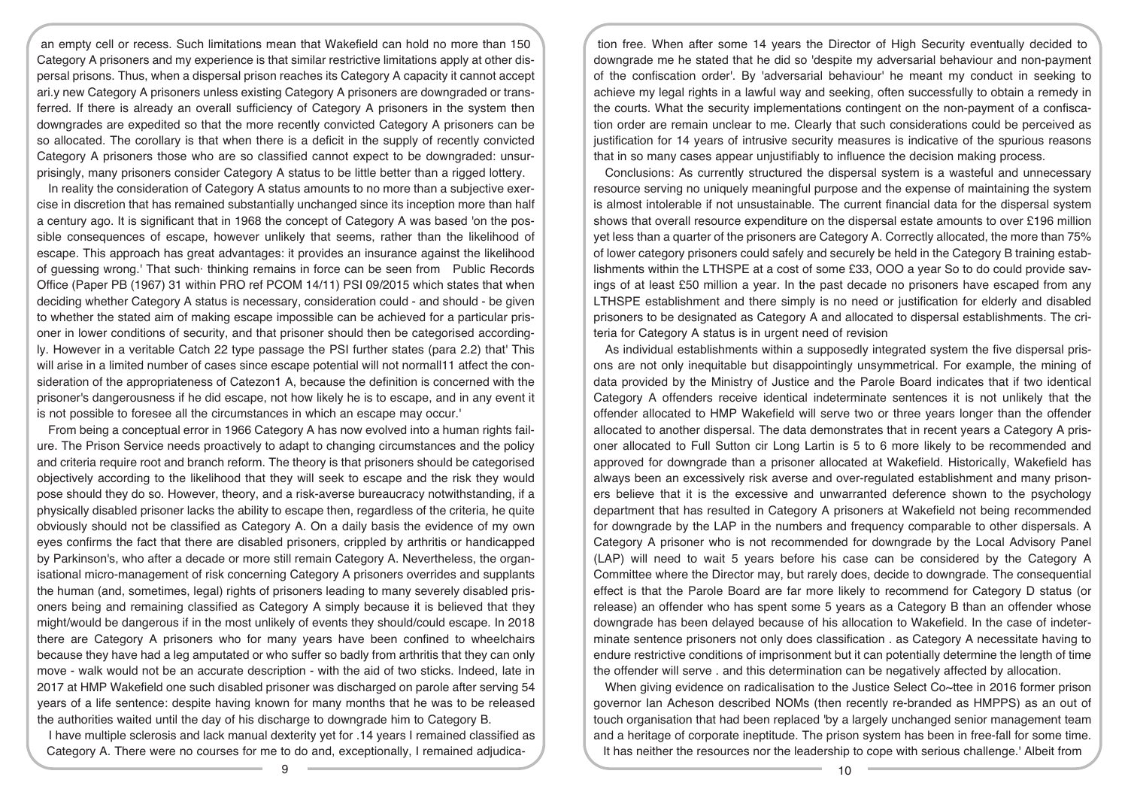an empty cell or recess. Such limitations mean that Wakefield can hold no more than 150 Category A prisoners and my experience is that similar restrictive limitations apply at other dispersal prisons. Thus, when a dispersal prison reaches its Category A capacity it cannot accept ari.y new Category A prisoners unless existing Category A prisoners are downgraded or transferred. If there is already an overall sufficiency of Category A prisoners in the system then downgrades are expedited so that the more recently convicted Category A prisoners can be so allocated. The corollary is that when there is a deficit in the supply of recently convicted Category A prisoners those who are so classified cannot expect to be downgraded: unsurprisingly, many prisoners consider Category A status to be little better than a rigged lottery.

In reality the consideration of Category A status amounts to no more than a subjective exercise in discretion that has remained substantially unchanged since its inception more than half a century ago. It is significant that in 1968 the concept of Category A was based 'on the possible consequences of escape, however unlikely that seems, rather than the likelihood of escape. This approach has great advantages: it provides an insurance against the likelihood of guessing wrong.' That such· thinking remains in force can be seen from Public Records Office (Paper PB (1967) 31 within PRO ref PCOM 14/11) PSI 09/2015 which states that when deciding whether Category A status is necessary, consideration could - and should - be given to whether the stated aim of making escape impossible can be achieved for a particular prisoner in lower conditions of security, and that prisoner should then be categorised accordingly. However in a veritable Catch 22 type passage the PSI further states (para 2.2) that' This will arise in a limited number of cases since escape potential will not normall11 atfect the consideration of the appropriateness of Catezon1 A, because the definition is concerned with the prisoner's dangerousness if he did escape, not how likely he is to escape, and in any event it is not possible to foresee all the circumstances in which an escape may occur.'

From being a conceptual error in 1966 Category A has now evolved into a human rights failure. The Prison Service needs proactively to adapt to changing circumstances and the policy and criteria require root and branch reform. The theory is that prisoners should be categorised objectively according to the likelihood that they will seek to escape and the risk they would pose should they do so. However, theory, and a risk-averse bureaucracy notwithstanding, if a physically disabled prisoner lacks the ability to escape then, regardless of the criteria, he quite obviously should not be classified as Category A. On a daily basis the evidence of my own eyes confirms the fact that there are disabled prisoners, crippled by arthritis or handicapped by Parkinson's, who after a decade or more still remain Category A. Nevertheless, the organisational micro-management of risk concerning Category A prisoners overrides and supplants the human (and, sometimes, legal) rights of prisoners leading to many severely disabled prisoners being and remaining classified as Category A simply because it is believed that they might/would be dangerous if in the most unlikely of events they should/could escape. In 2018 there are Category A prisoners who for many years have been confined to wheelchairs because they have had a leg amputated or who suffer so badly from arthritis that they can only move - walk would not be an accurate description - with the aid of two sticks. Indeed, late in 2017 at HMP Wakefield one such disabled prisoner was discharged on parole after serving 54 years of a life sentence: despite having known for many months that he was to be released the authorities waited until the day of his discharge to downgrade him to Category B.

I have multiple sclerosis and lack manual dexterity yet for .14 years I remained classified as Category A. There were no courses for me to do and, exceptionally, I remained adjudica-

tion free. When after some 14 years the Director of High Security eventually decided to downgrade me he stated that he did so 'despite my adversarial behaviour and non-payment of the confiscation order'. By 'adversarial behaviour' he meant my conduct in seeking to achieve my legal rights in a lawful way and seeking, often successfully to obtain a remedy in the courts. What the security implementations contingent on the non-payment of a confiscation order are remain unclear to me. Clearly that such considerations could be perceived as justification for 14 years of intrusive security measures is indicative of the spurious reasons that in so many cases appear unjustifiably to influence the decision making process.

Conclusions: As currently structured the dispersal system is a wasteful and unnecessary resource serving no uniquely meaningful purpose and the expense of maintaining the system is almost intolerable if not unsustainable. The current financial data for the dispersal system shows that overall resource expenditure on the dispersal estate amounts to over £196 million yet less than a quarter of the prisoners are Category A. Correctly allocated, the more than 75% of lower category prisoners could safely and securely be held in the Category B training establishments within the LTHSPE at a cost of some £33, OOO a year So to do could provide savings of at least £50 million a year. In the past decade no prisoners have escaped from any LTHSPE establishment and there simply is no need or justification for elderly and disabled prisoners to be designated as Category A and allocated to dispersal establishments. The criteria for Category A status is in urgent need of revision

As individual establishments within a supposedly integrated system the five dispersal prisons are not only inequitable but disappointingly unsymmetrical. For example, the mining of data provided by the Ministry of Justice and the Parole Board indicates that if two identical Category A offenders receive identical indeterminate sentences it is not unlikely that the offender allocated to HMP Wakefield will serve two or three years longer than the offender allocated to another dispersal. The data demonstrates that in recent years a Category A prisoner allocated to Full Sutton cir Long Lartin is 5 to 6 more likely to be recommended and approved for downgrade than a prisoner allocated at Wakefield. Historically, Wakefield has always been an excessively risk averse and over-regulated establishment and many prisoners believe that it is the excessive and unwarranted deference shown to the psychology department that has resulted in Category A prisoners at Wakefield not being recommended for downgrade by the LAP in the numbers and frequency comparable to other dispersals. A Category A prisoner who is not recommended for downgrade by the Local Advisory Panel (LAP) will need to wait 5 years before his case can be considered by the Category A Committee where the Director may, but rarely does, decide to downgrade. The consequential effect is that the Parole Board are far more likely to recommend for Category D status (or release) an offender who has spent some 5 years as a Category B than an offender whose downgrade has been delayed because of his allocation to Wakefield. In the case of indeterminate sentence prisoners not only does classification . as Category A necessitate having to endure restrictive conditions of imprisonment but it can potentially determine the length of time the offender will serve . and this determination can be negatively affected by allocation.

When giving evidence on radicalisation to the Justice Select Co~ttee in 2016 former prison governor Ian Acheson described NOMs (then recently re-branded as HMPPS) as an out of touch organisation that had been replaced 'by a largely unchanged senior management team and a heritage of corporate ineptitude. The prison system has been in free-fall for some time. It has neither the resources nor the leadership to cope with serious challenge.' Albeit from